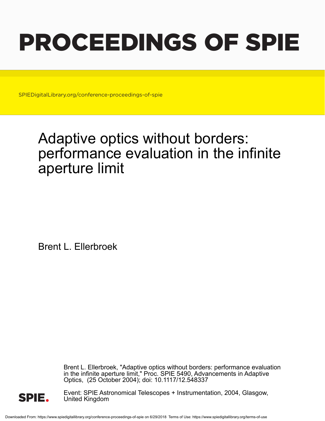# PROCEEDINGS OF SPIE

SPIEDigitalLibrary.org/conference-proceedings-of-spie

## Adaptive optics without borders: performance evaluation in the infinite aperture limit

Brent L. Ellerbroek

Brent L. Ellerbroek, "Adaptive optics without borders: performance evaluation in the infinite aperture limit," Proc. SPIE 5490, Advancements in Adaptive Optics, (25 October 2004); doi: 10.1117/12.548337



Event: SPIE Astronomical Telescopes + Instrumentation, 2004, Glasgow, United Kingdom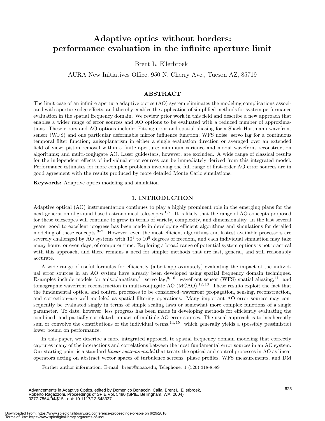### **Adaptive optics without borders: performance evaluation in the infinite aperture limit**

Brent L. Ellerbroek

AURA New Initiatives Office, 950 N. Cherry Ave., Tucson AZ, 85719

#### **ABSTRACT**

The limit case of an infinite aperture adaptive optics (AO) system eliminates the modeling complications associated with aperture edge effects, and thereby enables the application of simplified methods for system performance evaluation in the spatial frequency domain. We review prior work in this field and describe a new approach that enables a wider range of error sources and AO options to be evaluated with a reduced number of approximations. These errors and AO options include: Fitting error and spatial aliasing for a Shack-Hartmann wavefront sensor (WFS) and one particular deformable mirror influence function; WFS noise; servo lag for a continuous temporal filter function; anisoplanatism in either a single evaluation direction or averaged over an extended field of view; piston removal within a finite aperture; minimum variance and modal wavefront reconstruction algorithms; and multi-conjugate AO. Laser guidestars, however, are excluded. A wide range of classical results for the independent effects of individual error sources can be immediately derived from this integrated model. Performance estimates for more complex problems involving the full range of first-order AO error sources are in good agreement with the results produced by more detailed Monte Carlo simulations.

**Keywords:** Adaptive optics modeling and simulation

#### **1. INTRODUCTION**

Adaptive optical (AO) instrumentation continues to play a highly prominent role in the emerging plans for the next generation of ground based astronomical telescopes.<sup>1, 2</sup> It is likely that the range of AO concepts proposed for these telescopes will continue to grow in terms of variety, complexity, and dimensionality. In the last several years, good to excellent progress has been made in developing efficient algorithms and simulations for detailed modeling of these concepts.<sup>3–7</sup> However, even the most efficient algorithms and fastest available processors are severely challenged by AO systems with  $10^4$  to  $10^5$  degrees of freedom, and each individual simulation may take many hours, or even days, of computer time. Exploring a broad range of potential system options is not practical with this approach, and there remains a need for simpler methods that are fast, general, and still reasonably accurate.

A wide range of useful formulas for efficiently (albeit approximately) evaluating the impact of the individual error sources in an AO system have already been developed using spatial frequency domain techniques. Examples include models for anisoplanatism,<sup>8</sup> servo lag,<sup>9, 10</sup> wavefront sensor (WFS) spatial aliasing,<sup>11</sup> and tomographic wavefront reconstruction in multi-conjugate AO  $(MCAO)^{12,13}$  These results exploit the fact that the fundamental optical and control processes to be considered–wavefront propagation, sensing, reconstruction, and correction–are well modeled as spatial filtering operations. Many important AO error sources may consequently be evaluated singly in terms of simple scaling laws or somewhat more complex functions of a single parameter. To date, however, less progress has been made in developing methods for efficiently evaluating the combined, and partially correlated, impact of multiple AO error sources. The usual approach is to incoherently sum or convolve the contributions of the individual terms,  $14, 15$  which generally yields a (possibly pessimistic) lower bound on performance.

In this paper, we describe a more integrated approach to spatial frequency domain modeling that correctly captures many of the interactions and correlations between the most fundamental error sources in an AO system. Our starting point is a standard *linear systems model* that treats the optical and control processes in AO as linear operators acting on abstract vector spaces of turbulence screens, phase profiles, WFS measurements, and DM

Advancements in Adaptive Optics, edited by Domenico Bonaccini Calia, Brent L. Ellerbroek, Roberto Ragazzoni, Proceedings of SPIE Vol. 5490 (SPIE, Bellingham, WA, 2004) 0277-786X/04/\$15 · doi: 10.1117/12.548337

Further author information: E-mail: brent@noao.edu, Telephone: 1 (520) 318-8589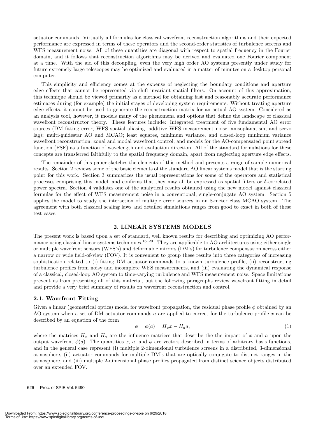actuator commands. Virtually all formulas for classical wavefront reconstruction algorithms and their expected performance are expressed in terms of these operators and the second-order statistics of turbulence screens and WFS measurement noise. All of these quantities are diagonal with respect to spatial frequency in the Fourier domain, and it follows that reconstruction algorithms may be derived and evaluated one Fourier component at a time. With the aid of this decoupling, even the very high order AO systems presently under study for future extremely large telescopes may be optimized and evaluated in a matter of minutes on a desktop personal computer.

This simplicity and efficiency comes at the expense of neglecting the boundary conditions and aperture edge effects that cannot be represented via shift-invariant spatial filters. On account of this approximation, this technique should be viewed primarily as a method for obtaining fast and reasonably accurate performance estimates during (for example) the initial stages of developing system requirements. Without treating aperture edge effects, it cannot be used to generate the reconstruction matrix for an actual AO system. Considered as an analysis tool, however, it models many of the phenomena and options that define the landscape of classical wavefront reconstructor theory. These features include: Integrated treatment of five fundamental AO error sources (DM fitting error, WFS spatial aliasing, additive WFS measurement noise, anisoplanatism, and servo lag); multi-guidestar AO and MCAO; least squares, minimum variance, and closed-loop minimum variance wavefront reconstruction; zonal and modal wavefront control; and models for the AO-compensated point spread function (PSF) as a function of wavelength and evaluation direction. All of the standard formulations for these concepts are transferred faithfully to the spatial frequency domain, apart from neglecting aperture edge effects.

The remainder of this paper sketches the elements of this method and presents a range of sample numerical results. Section 2 reviews some of the basic elements of the standard AO linear systems model that is the starting point for this work. Section 3 summarizes the usual representations for some of the operators and statistical processes comprising this model, and confirms that they may all be expressed as spatial filters or δ-correlated power spectra. Section 4 validates one of the analytical results obtained using the new model against classical formulas for the effect of WFS measurement noise in a conventional, single-conjugate AO system. Section 5 applies the model to study the interaction of multiple error sources in an 8-meter class MCAO system. The agreement with both classical scaling laws and detailed simulations ranges from good to exact in both of these test cases.

#### **2. LINEAR SYSTEMS MODELS**

The present work is based upon a set of standard, well known results for describing and optimizing AO performance using classical linear systems techniques.<sup>16–20</sup> They are applicable to AO architectures using either single or multiple wavefront sensors (WFS's) and deformable mirrors (DM's) for turbulence compensation across either a narrow or wide field-of-view (FOV). It is convenient to group these results into three categories of increasing sophistication related to (i) fitting DM actuator commands to a known turbulence profile, (ii) reconstructing turbulence profiles from noisy and incomplete WFS measurements, and (iii) evaluating the dynamical response of a classical, closed-loop AO system to time-varying turbulence and WFS measurement noise. Space limitations prevent us from presenting all of this material, but the following paragraphs review wavefront fitting in detail and provide a very brief summary of results on wavefront reconstruction and control.

#### **2.1. Wavefront Fitting**

Given a linear (geometrical optics) model for wavefront propagation, the residual phase profile  $\phi$  obtained by an AO system when a set of DM actuator commands a are applied to correct for the turbulence profile x can be described by an equation of the form

$$
\phi = \phi(a) = H_x x - H_a a,\tag{1}
$$

where the matrices  $H_x$  and  $H_a$  are the influence matrices that describe the the impact of x and a upon the output wavefront  $\phi(a)$ . The quantities x, a, and  $\phi$  are vectors described in terms of arbitrary basis functions, and in the general case represent (i) multiple 2-dimensional turbulence screens in a distributed, 3-dimensional atmosphere, (ii) actuator commands for multiple DM's that are optically conjugate to distinct ranges in the atmosphere, and (iii) multiple 2-dimensional phase profiles propagated from distinct science objects distributed over an extended FOV.

626 Proc. of SPIE Vol. 5490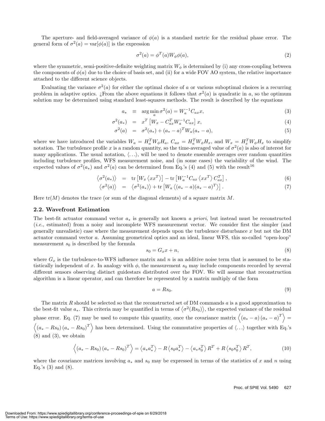The aperture- and field-averaged variance of  $\phi(a)$  is a standard metric for the residual phase error. The general form of  $\sigma^2(a) = \text{var}[\phi(a)]$  is the expression

$$
\sigma^2(a) = \phi^T(a)W_\phi\phi(a),\tag{2}
$$

where the symmetric, semi-positive-definite weighting matrix  $W_{\phi}$  is determined by (i) any cross-coupling between the components of  $\phi(a)$  due to the choice of basis set, and (ii) for a wide FOV AO system, the relative importance attached to the different science objects.

Evaluating the variance  $\sigma^2(a)$  for either the optimal choice of a or various suboptimal choices is a recurring problem in adaptive optics. ¿From the above equations it follows that  $\sigma^2(a)$  is quadratic in a, so the optimum solution may be determined using standard least-squares methods. The result is described by the equations

$$
a_* \equiv \arg\min_a \sigma^2(a) = W_a^{-1} C_{ax} x,\tag{3}
$$

$$
\sigma^2(a_*) = x^T \left[ W_x - C_{ax}^T W_a^{-1} C_{ax} \right] x,\tag{4}
$$

$$
\sigma^{2}(a) = \sigma^{2}(a_{*}) + (a_{*}-a)^{T}W_{a}(a_{*}-a), \qquad (5)
$$

where we have introduced the variables  $W_a = H_a^T W_{\phi} H_a$ ,  $C_{ax} = H_a^T W_{\phi} H_x$ , and  $W_x = H_x^T W_{\phi} H_x$  to simplify<br>notation. The turbulence profile x is a random quantity so the time averaged value of  $\sigma^2(a)$  is also of inter notation. The turbulence profile x is a random quantity, so the time-averaged value of  $\sigma^2(a)$  is also of interest for many applications. The usual notation,  $\langle \ldots \rangle$ , will be used to denote ensemble averages over random quantities including turbulence profiles, WFS measurement noise, and (in some cases) the variability of the wind. The expected values of  $\sigma^2(a_*)$  and  $\sigma^2(a)$  can be determined from Eq.'s (4) and (5) with the result<sup>16</sup>

$$
\langle \sigma^2(a_*) \rangle = \text{tr}\left[W_x \langle x x^T \rangle\right] - \text{tr}\left[W_a^{-1} C_{ax} \langle x x^T \rangle C_{ax}^T\right],\tag{6}
$$

$$
\langle \sigma^2(a) \rangle = \langle \sigma^2(a_*) \rangle + \text{tr} \left[ W_a \langle (a_* - a)(a_* - a)^T \rangle \right]. \tag{7}
$$

Here  $tr(M)$  denotes the trace (or sum of the diagonal elements) of a square matrix M.

#### **2.2. Wavefront Estimation**

The best-fit actuator command vector <sup>a</sup><sup>∗</sup> is generally not known *a priori*, but instead must be reconstructed (*i.e.*, estimated) from a noisy and incomplete WFS measurement vector. We consider first the simpler (and generally unrealistic) case where the measurement depends upon the turbulence disturbance x but not the DM actuator command vector a. Assuming geometrical optics and an ideal, linear WFS, this so-called "open-loop" measurement  $s_0$  is described by the formula

$$
s_0 = G_x x + n,\t\t(8)
$$

where  $G_x$  is the turbulence-to-WFS influence matrix and n is an additive noise term that is assumed to be statistically independent of x. In analogy with  $\phi$ , the measurement  $s_0$  may include components recorded by several different sensors observing distinct guidestars distributed over the FOV. We will assume that reconstruction algorithm is a linear operator, and can therefore be represented by a matrix multiply of the form

$$
a = Rs_0. \tag{9}
$$

The matrix R should be selected so that the reconstructed set of DM commands a is a good approximation to the best-fit value  $a_*$ . This criteria may be quantified in terms of  $\langle \sigma^2(Rs_0) \rangle$ , the expected variance of the residual phase error. Eq. (7) may be used to compute this quantity, once the covariance matrix  $\langle (a_* - a) (a_* - a)^T \rangle =$  $\langle (a_{*}-Rs_{0})(a_{*}-Rs_{0})^{T} \rangle$  has been determined. Using the commutative properties of  $\langle ... \rangle$  together with Eq.'s  $(8)$  and  $(3)$ , we obtain

$$
\left\langle \left( a_{*} - Rs_{0} \right) \left( a_{*} - Rs_{0} \right)^{T} \right\rangle = \left\langle a_{*} a_{*}^{T} \right\rangle - R \left\langle s_{0} a_{*}^{T} \right\rangle - \left\langle a_{*} s_{0}^{T} \right\rangle R^{T} + R \left\langle s_{0} s_{0}^{T} \right\rangle R^{T},\tag{10}
$$

where the covariance matrices involving  $a_*$  and  $s_0$  may be expressed in terms of the statistics of x and n using Eq.'s  $(3)$  and  $(8)$ .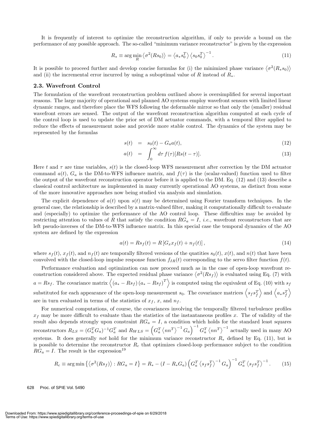It is frequently of interest to optimize the reconstruction algorithm, if only to provide a bound on the performance of any possible approach. The so-called "minimum variance reconstructor" is given by the expression

$$
R_* \equiv \arg\min_R \left\langle \sigma^2(Rs_0) \right\rangle = \left\langle a_* s_0^T \right\rangle \left\langle s_0 s_0^T \right\rangle^{-1}.
$$
\n(11)

It is possible to proceed further and develop concise formulas for (i) the minimized phase variance  $\langle \sigma^2(R_*s_0) \rangle$ and (ii) the incremental error incurred by using a suboptimal value of R instead of  $R_{*}$ .

#### **2.3. Wavefront Control**

The formulation of the wavefront reconstruction problem outlined above is oversimplified for several important reasons. The large majority of operational and planned AO systems employ wavefront sensors with limited linear dynamic ranges, and therefore place the WFS following the deformable mirror so that only the (smaller) residual wavefront errors are sensed. The output of the wavefront reconstruction algorithm computed at each cycle of the control loop is used to update the prior set of DM actuator commands, with a temporal filter applied to reduce the effects of measurement noise and provide more stable control. The dynamics of the system may be represented by the formulas

$$
s(t) = s_0(t) - G_a a(t), \tag{12}
$$

$$
a(t) = \int_0^\infty d\tau \, f(\tau) [Rs(t-\tau)]. \tag{13}
$$

Here t and  $\tau$  are time variables,  $s(t)$  is the closed-loop WFS measurement after correction by the DM actuator command  $a(t)$ ,  $G_a$  is the DM-to-WFS influence matrix, and  $f(\tau)$  is the (scalar-valued) function used to filter the output of the wavefront reconstruction operator before it is applied to the DM. Eq. (12) and (13) describe a classical control architecture as implemented in many currently operational AO systems, as distinct from some of the more innovative approaches now being studied via analysis and simulation.

The explicit dependence of  $a(t)$  upon  $s(t)$  may be determined using Fourier transform techniques. In the general case, the relationship is described by a matrix-valued filter, making it computationally difficult to evaluate and (especially) to optimize the performance of the AO control loop. These difficulties may be avoided by restricting attention to values of R that satisfy the condition  $RG_a = I$ , *i.e.*, wavefront reconstructors that are left pseudo-inverses of the DM-to-WFS influence matrix. In this special case the temporal dynamics of the AO system are defined by the expression

$$
a(t) = Rs_f(t) = R\left[G_x x_f(t) + n_f(t)\right],
$$
\n(14)

where  $s_f(t)$ ,  $x_f(t)$ , and  $n_f(t)$  are temporally filtered versions of the quatities  $s_0(t)$ ,  $x(t)$ , and  $n(t)$  that have been convolved with the closed-loop impulse response function  $f_{IR}(t)$  corresponding to the servo filter function  $f(t)$ .

Performance evaluation and optimization can now proceed much as in the case of open-loop wavefront reconstruction considered above. The expected residual phase variance  $\langle \sigma^2(Rs_f) \rangle$  is evaluated using Eq. (7) with  $a = Rs_f$ . The covariance matrix  $\left\langle (a_* - Rs_f) (a_* - Rs_f)^T \right\rangle$  is computed using the equivalent of Eq. (10) with  $s_f$ substituted for each appearance of the open-loop measurement  $s_0$ . The covariance matrices  $\left\langle s_f s_f^T\right\rangle$  $\Big\}$  and  $\Big\langle a_* s_f^T$  $\setminus$ are in turn evaluated in terms of the statistics of  $x_f$ , x, and  $n_f$ .

For numerical computations, of course, the covariances involving the temporally filtered turbulence profiles  $x_f$  may be more difficult to evaluate than the statistics of the instantaneous profiles x. The of validity of the next state of the state of validity of the state of the state of validity of the state of  $P$ . result also depends strongly upon constraint  $RG_a = I$ , a condition which holds for the standard least squares reconstructors  $R_{LS} = (G_a^T G_a)^{-1} G_a^T$  and  $R_{WLS} = (G_a^T \langle nn^T \rangle^{-1} G_a)^{-1} G_a^T \langle nn^T \rangle^{-1}$  actually used in many AO systems. It does generally *not* hold for the minimum variance reconstructor  $R_*$  defined by Eq. (11), but is is possible to determine the reconstructor  $R_c$  that optimizes closed-loop performance subject to the condition  $R\tilde{G}_a = I$ . The result is the expression<sup>19</sup>

$$
R_c \equiv \arg\min\left\{ \langle \sigma^2(Rs_f) \rangle : RG_a = I \right\} = R_* - (I - R_*G_a) \left( G_a^T \left\langle s_f s_f^T \right\rangle^{-1} G_a \right)^{-1} G_a^T \left\langle s_f s_f^T \right\rangle^{-1} . \tag{15}
$$

628 Proc. of SPIE Vol. 5490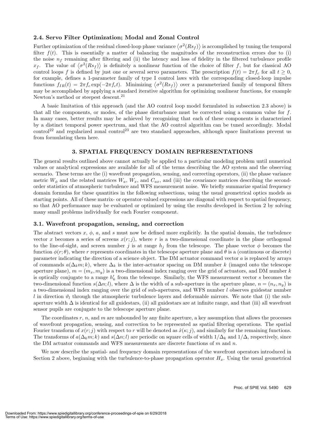#### **2.4. Servo Filter Optimization; Modal and Zonal Control**

Further optimization of the residual closed-loop phase variance  $\langle \sigma^2(Rs_f) \rangle$  is accomplished by tuning the temporal filter  $f(t)$ . This is essentially a matter of balancing the magnitudes of the reconstruction errors due to (i) the noise  $n_f$  remaining after filtering and (ii) the latency and loss of fidelity in the filtered turbulence profile  $x_f$ . The value of  $\langle \sigma^2(Rs_f) \rangle$  is definitely a nonlinear function of the choice of filter f, but for classical AO control loops f is defined by just one or several servo parameters. The prescription  $f(t)=2\pi f_c$  for all  $t \geq 0$ , for example, defines a 1-parameter family of type I control laws with the corresponding closed-loop impulse functions  $f_{IR}(t) = 2\pi f_c \exp(-2\pi f_c t)$ . Minimizing  $\langle \sigma^2(Rs_f) \rangle$  over a parameterized family of temporal filters may be accomplished by applying a standard iterative algorithm for optimizing nonlinear functions, for example Newton's method or steepest descent.<sup>21</sup>

A basic limitation of this approach (and the AO control loop model formulated in subsection 2.3 above) is that all the components, or modes, of the phase disturbance must be corrected using a common value for  $f$ . In many cases, better results may be achieved by recognizing that each of these components is characterized by a distinct temporal power spectrum, and that the AO control algorithm can be tuned accordingly. Modal control<sup>22</sup> and regularized zonal control<sup>23</sup> are two standard approaches, although space limitations prevent us from formulating them here.

#### **3. SPATIAL FREQUENCY DOMAIN REPRESENTATIONS**

The general results outlined above cannot actually be applied to a particular modeling problem until numerical values or analytical expressions are available for all of the terms describing the AO system and the observing scenario. These terms are the (i) wavefront propagation, sensing, and correcting operators, (ii) the phase variance metric  $W_{\phi}$  and the related matrices  $W_a$ ,  $W_x$ , and  $C_{ax}$ , and (iii) the covariance matrices describing the secondorder statistics of atmospheric turbulence and WFS measurement noise. We briefly summarize spatial frequency domain formulas for these quantities in the following subsections, using the usual geometrical optics models as starting points. All of these matrix- or operator-valued expressions are diagonal with respect to spatial frequency, so that AO performance may be evaluated or optimized by using the results developed in Section 2 by solving many small problems individually for each Fourier component.

#### **3.1. Wavefront propagation, sensing, and correction**

The abstract vectors  $x, \phi, a$ , and s must now be defined more explicitly. In the spatial domain, the turbulence vector x becomes a series of screens  $x(r; j)$ , where r is a two-dimensional coordinate in the plane orthogonal to the line-of-sight, and screen number j is at range  $h_j$  from the telescope. The phase vector  $\phi$  becomes the function  $\phi(r;\theta)$ , where r represents coordinates in the telescope aperture plane and  $\theta$  is a (continuous or discrete) parameter indicating the direction of a science object. The DM actuator command vector a is replaced by arrays of commands  $a(\Delta_k m; k)$ , where  $\Delta_k$  is the inter-actuator spacing on DM number k (imaged onto the telescope aperture plane),  $m = (m_x, m_y)$  is a two-dimensional index ranging over the grid of actuators, and DM number k is optically conjugate to a range  $h'_k$  from the telescope. Similarly, the WFS measurement vector s becomes the<br>two-dimensional function  $s(\Delta x; l)$  where  $\Delta$  is the width of a sub-aperture in the aperture plane,  $n - (n - n)$ two-dimensional function  $s(\Delta n; l)$ , where  $\Delta$  is the width of a sub-aperture in the aperture plane,  $n = (n_x, n_y)$  is a two-dimensional index ranging over the grid of sub-apertures, and WFS number l observes guidestar number l in direction  $\vartheta_l$  through the atmospheric turbulence layers and deformable mirrors. We note that (i) the subaperture width  $\Delta$  is identical for all guidestars, (ii) all guidestars are at infinite range, and that (iii) all wavefront sensor pupils are conjugate to the telescope aperture plane.

The coordinates  $r, n$ , and m are unbounded by any finite aperture, a key assumption that allows the processes of wavefront propagation, sensing, and correction to be represented as spatial filtering operations. The spatial Fourier transform of  $x(r; j)$  with respect to r will be denoted as  $\hat{x}(\kappa; j)$ , and similarly for the remaining functions. The transforms of  $a(\Delta_k m; k)$  and  $s(\Delta n; l)$  are periodic on square cells of width  $1/\Delta_k$  and  $1/\Delta$ , respectively, since the DM actuator commands and WFS measurements are discrete functions of  $m$  and  $n$ .

We now describe the spatial- and frequency domain representations of the wavefront operators introduced in Section 2 above, beginning with the turbulence-to-phase propagation operator  $H_x$ . Using the usual geometrical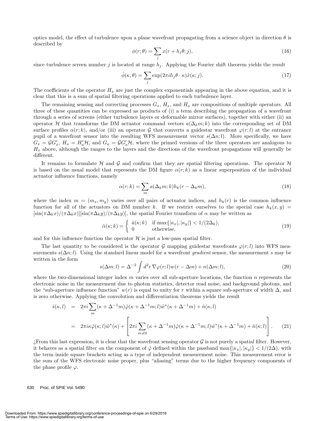optics model, the effect of turbulence upon a plane wavefront propagating from a science object in direction  $\theta$  is described by

$$
\phi(r;\theta) = \sum_{j} x(r + h_j \theta; j),\tag{16}
$$

since turbulence screen number j is located at range  $h_j$ . Applying the Fourier shift theorem yields the result

$$
\hat{\phi}(\kappa,\theta) = \sum_{j} \exp(2\pi i h_j \theta \cdot \kappa) \hat{x}(\kappa;j). \tag{17}
$$

The coefficients of the operator  $H_x$  are just the complex exponentials appearing in the above equation, and it is clear that this is a sum of spatial filtering operations applied to each turbulence layer.

The remaining sensing and correcting processes  $G_x$ ,  $H_x$ , and  $H_a$  are compositions of multiple operators. All three of these quantities can be expressed as products of (i) a term describing the propagation of a wavefront through a series of screens (either turbulence layers or deformable mirror surfaces), together with either (ii) an operator H that transforms the DM actuator command vectors  $a(\Delta_k m; k)$  into the corresponding set of DM surface profiles  $\alpha(r; k)$ , and/or (iii) an operator G that converts a guidestar wavefront  $\varphi(r; l)$  at the entrance pupil of a wavefront sensor into the resulting WFS measurement vector  $s(\Delta n; l)$ . More specifically, we have  $G_x = \mathcal{G}G'_x$ ,  $H_a = H'_a\mathcal{H}$ , and  $G_a = \mathcal{G}G'_a\mathcal{H}$ , where the primed versions of the three operators are analogous to  $H_a$  above although the ranges to the layers and the directions of the wavefront proposations wil  $H_x$  above, although the ranges to the layers and the directions of the wavefront propagations will generally be<br>different different.

It remains to formulate H and G and confirm that they are spatial filtering operations. The operator H is based on the usual model that represents the DM figure  $\alpha(r; k)$  as a linear superposition of the individual actuator influence functions, namely

$$
\alpha(r;k) = \sum_{m} a(\Delta_k m;k) h_k(r - \Delta_k m), \qquad (18)
$$

where the index  $m = (m_x, m_y)$  varies over all pairs of actuator indices, and  $h_k(r)$  is the common influence function for all of the actuators on DM number k. If we restrict ourselves to the special case  $h_k(x, y)$  $[\sin(\pi\Delta_kx)/(\pi\Delta_kx)][\sin(\pi\Delta_ky)/(\pi\Delta_ky)]$ , the spatial Fourier transform of  $\alpha$  may be written as

$$
\hat{\alpha}(\kappa; k) = \begin{cases} \hat{a}(\kappa; k) & \text{if } \max\{|\kappa_x|, |\kappa_y|\} < 1/(2\Delta_k), \\ 0 & \text{otherwise,} \end{cases} \tag{19}
$$

and for this influence function the operator  $\mathcal H$  is just a low-pass spatial filter.

The last quantity to be considered is the operator G mapping guidestar wavefronts  $\varphi(r; l)$  into WFS measurements s(∆n; l). Using the standard linear model for a wavefront *gradient* sensor, the measurement s may be written in the form

$$
s(\Delta m; l) = \Delta^{-2} \int d^2r \, \nabla \varphi(r; l) w(r - \Delta m) + n(\Delta m; l), \tag{20}
$$

where the two-dimensional integer index  $m$  varies over all sub-aperture locations, the function  $n$  represents the electronic noise in the measurement due to photon statistics, detector read noise, and background photons, and the "sub-aperture influence function"  $w(r)$  is equal to unity for r within a square sub-aperture of width  $\Delta$ , and is zero otherwise. Applying the convolution and differentiation theorems yields the result

$$
\hat{s}(\kappa, l) = 2\pi i \sum_{m} (\kappa + \Delta^{-1} m) \hat{\varphi}(\kappa + \Delta^{-1} m; l) \hat{w}^*(\kappa + \Delta^{-1} m) + \hat{n}(\kappa; l)
$$
  

$$
= 2\pi i \kappa \hat{\varphi}(\kappa; l) \hat{w}^*(\kappa) + \left[ 2\pi i \sum_{m \neq 0} (\kappa + \Delta^{-1} m) \hat{\varphi}(\kappa + \Delta^{-1} m; l) \hat{w}^*(\kappa + \Delta^{-1} m) + \hat{n}(\kappa; l) \right].
$$
 (21)

¿From this last expression, it is clear that the wavefront sensing operator  $G$  is not purely a spatial filter. However, it behaves as a spatial filter on the component of  $\hat{\varphi}$  defined within the passband max $\{|\kappa_x|, |\kappa_y|\} < 1/(2\Delta)$ , with the term inside square brackets acting as a type of independent measurement noise. This measurement error is the sum of the WFS electronic noise proper, plus "aliasing" terms due to the higher frequency components of the phase profile  $\varphi$ .

#### 630 Proc. of SPIE Vol. 5490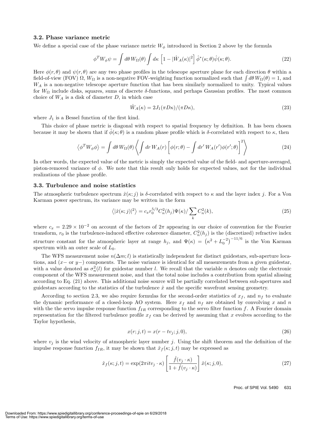#### **3.2. Phase variance metric**

We define a special case of the phase variance metric  $W_{\phi}$  introduced in Section 2 above by the formula

$$
\phi^T W_{\phi} \psi = \int d\theta \, W_{\Omega}(\theta) \int d\kappa \, \left[ 1 - |\hat{W}_A(\kappa)|^2 \right] \hat{\phi}^*(\kappa; \theta) \hat{\psi}(\kappa; \theta). \tag{22}
$$

Here  $\phi(r,\theta)$  and  $\psi(r,\theta)$  are any two phase profiles in the telescope aperture plane for each direction  $\theta$  within a field-of-view (FOV)  $\Omega$ ,  $W_{\Omega}$  is a non-negative FOV-weighting function normalized such that  $\int d\theta W_{\Omega}(\theta) = 1$ , and  $W_A$  is a non-negative telescope aperture function that has been similarly normalized to unity. Typical values for  $W_{\Omega}$  include disks, squares, sums of discrete  $\delta$ -functions, and perhaps Gaussian profiles. The most common choice of  $W_A$  is a disk of diameter  $D$ , in which case

$$
\hat{W}_A(\kappa) = 2J_1(\pi D\kappa)/(\pi D\kappa),\tag{23}
$$

where  $J_1$  is a Bessel function of the first kind.

This choice of phase metric is diagonal with respect to spatial frequency by definition. It has been chosen because it may be shown that if  $\hat{\phi}(\kappa; \theta)$  is a random phase profile which is δ-correlated with respect to  $\kappa$ , then

$$
\langle \phi^T W_{\phi} \phi \rangle = \int d\theta \, W_{\Omega}(\theta) \left\langle \int dr \, W_{A}(r) \left[ \phi(r; \theta) - \int dr' \, W_{A}(r') \phi(r'; \theta) \right]^2 \right\rangle \tag{24}
$$

In other words, the expected value of the metric is simply the expected value of the field- and aperture-averaged, piston-removed variance of  $\phi$ . We note that this result only holds for expected values, not for the individual realizations of the phase profile.

#### **3.3. Turbulence and noise statistics**

The atmospheric turbulence spectrum  $\hat{x}(\kappa; j)$  is δ-correlated with respect to  $\kappa$  and the layer index j. For a Von Karman power spectrum, its variance may be written in the form

$$
\langle |\hat{x}(\kappa;j)|^2 \rangle = c_x r_0^{5/3} C_n^2(h_j) \Psi(\kappa) / \sum_k C_n^2(k), \qquad (25)
$$

where  $c_x = 2.29 \times 10^{-2}$  on account of the factors of  $2\pi$  appearing in our choice of convention for the Fourier<br>transform  $x$  is the turbulance induced effective sebenance diameter  $C_{\alpha}^{2}(h)$  is the (discretized) refr transform,  $r_0$  is the turbulence-induced effective coherence diameter,  $C_n^2(h_j)$  is the (discretized) refractive index structure constant for the atmospheric layer at range  $h_j$ , and  $\Psi(\kappa) = (\kappa^2 + L_0^{-2})^{-11/6}$  is the Von Karman spectrum with an outer scale of  $L_0$ .

The WFS measurement noise  $n(\Delta m; l)$  is statistically independent for distinct guidestars, sub-aperture locations, and  $(x-$  or y−) components. The noise variance is identical for all measurements from a given guidestar, with a value denoted as  $\sigma_n^2(l)$  for guidestar number l. We recall that the variable n denotes only the electronic component of the WFS monouroment poise, and that the total noise includes a contribution from spatial ali component of the WFS measurement noise, and that the total noise includes a contribution from spatial aliasing according to Eq. (21) above. This additional noise source will be partially correlated between sub-apertures and guidestars according to the statistics of the turbulence  $\hat{x}$  and the specific wavefront sensing geometry.

According to section 2.3, we also require formulas for the second-order statistics of  $x_f$ , and  $n_f$  to evaluate the dynamic performance of a closed-loop AO system. Here  $x_f$  and  $n_f$  are obtained by convolving x and n with the the servo impulse response function  $f_{IR}$  corresponding to the servo filter function f. A Fourier domain representation for the filtered turbulence profile  $x_f$  can be derived by assuming that x evolves according to the Taylor hypothesis,

$$
x(r; j, t) = x(r - tv_j; j, 0),
$$
\n(26)

where  $v_j$  is the wind velocity of atmospheric layer number j. Using the shift theorem and the definition of the impulse response function  $f_{IR}$ , it may be shown that  $\hat{x}_f(\kappa; j, t)$  may be expressed as

$$
\hat{x}_f(\kappa; j, t) = \exp(2\pi i t v_j \cdot \kappa) \left[ \frac{\hat{f}(v_j \cdot \kappa)}{1 + \hat{f}(v_j \cdot \kappa)} \right] \hat{x}(\kappa; j, 0),\tag{27}
$$

Proc. of SPIE Vol. 5490 631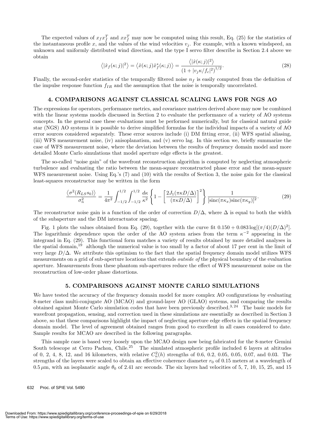The expected values of  $x_f x_f^T$  and  $xx_f^T$  may now be computed using this result, Eq. (25) for the statistics of instantaneous profile x and the values of the wind velocities x. For example, with a known windspeed and the instantaneous profile x, and the values of the wind velocities  $v_i$ . For example, with a known windspeed, an unknown and uniformly distributed wind direction, and the type I servo filter describe in Section 2.4 above we obtain

$$
\langle |\hat{x}_f(\kappa;j)|^2 \rangle = \langle \hat{x}(\kappa;j)\hat{x}_f^*(\kappa;j) \rangle = \frac{\langle |\hat{x}(\kappa;j)|^2 \rangle}{\left(1 + |v_j \kappa/f_c|^2\right)^{1/2}}.
$$
\n(28)

Finally, the second-order statistics of the temporally filtered noise  $n_f$  is easily computed from the definition of the impulse response function  $f_{IR}$  and the assumption that the noise is temporally uncorrelated.

#### **4. COMPARISONS AGAINST CLASSICAL SCALING LAWS FOR NGS AO**

The expressions for operators, performance metrics, and covariance matrices derived above may now be combined with the linear systems models discussed in Section 2 to evaluate the performance of a variety of AO systems concepts. In the general case these evaluations must be performed numerically, but for classical natural guide star (NGS) AO systems it is possible to derive simplified formulas for the individual impacts of a variety of AO error sources considered separately. These error sources include (i) DM fitting error, (ii) WFS spatial aliasing, (iii) WFS measurement noise, (iv) anisoplanatism, and (v) servo lag. In this section we, briefly summarize the case of WFS measurement noise, where the deviation between the results of frequency domain model and more detailed Monte Carlo simulations that model aperture edge effects is the greatest.

The so-called "noise gain" of the wavefront reconstruction algorithm is computed by neglecting atmospheric turbulence and evaluating the ratio between the mean-square reconstructed phase error and the mean-square WFS measurement noise. Using Eq.'s (7) and (10) with the results of Section 3, the noise gain for the classical least-squares reconstructor may be written in the form

$$
\frac{\langle \sigma^2(R_{LS} s_0) \rangle}{\sigma_n^2} = \frac{1}{4\pi^2} \int_{-1/2}^{1/2} \int_{-1/2}^{1/2} \frac{d\kappa}{\kappa^2} \left\{ 1 - \left[ \frac{2J_1(\pi \kappa D/\Delta)}{(\pi \kappa D/\Delta)} \right]^2 \right\} \frac{1}{[\text{sinc}(\pi \kappa_x)\text{sinc}(\pi \kappa_y)]^2}.
$$
 (29)

The reconstructor noise gain is a function of the order of correction  $D/\Delta$ , where  $\Delta$  is equal to both the width of the subaperture and the DM interactuator spacing.

Fig. 1 plots the values obtained from Eq. (29), together with the curve fit  $0.150 + 0.083 \log[(\pi/4)(D/\Delta)^2]$ . The logarithmic dependence upon the order of the AO system arises from the term  $\kappa^{-2}$  appearing in the integrand in Eq. (29). This functional form matches a variety of results obtained by more detailed analyses in the spatial domain,<sup>19</sup> although the numerical value is too small by a factor of about 17 per cent in the limit of very large  $D/\Delta$ . We attribute this optimism to the fact that the spatial frequency domain model utilizes WFS measurements on a grid of sub-aperture locations that extends *outside of* the physical boundary of the evaluation aperture. Measurements from these phantom sub-apertures reduce the effect of WFS measurement noise on the reconstruction of low-order phase distortions.

#### **5. COMPARISONS AGAINST MONTE CARLO SIMULATIONS**

We have tested the accuracy of the frequency domain model for more complex AO configurations by evaluating 8-meter class multi-conjugate AO (MCAO) and ground-layer AO (GLAO) systems, and comparing the results obtained against Monte Carlo simulation codes that have been previously described.3, 24 The basic models for wavefront propagation, sensing, and correction used in these simulations are essentially as described in Section 3 above, so that these comparisons highlight the impact of neglecting aperture edge effects in the spatial frequency domain model. The level of agreement obtained ranges from good to excellent in all cases considered to date. Sample results for MCAO are described in the following paragraphs.

This sample case is based very loosely upon the MCAO design now being fabricated for the 8-meter Gemini South telescope at Cerro Pachon, Chile.<sup>25</sup> The simulated atmospheric profile included 6 layers at altitudes of 0, 2, 4, 8, 12, and 16 kilometers, with relative  $C_n^2(h)$  strengths of 0.6, 0.2, 0.05, 0.05, 0.07, and 0.03. The<br>strengths of the layers were scaled to obtain an effective coherence diameter  $r_s$  of 0.15 meters at a wa strengths of the layers were scaled to obtain an effective coherence diameter  $r_0$  of 0.15 meters at a wavelength of  $0.5 \,\mu$ m, with an isoplanatic angle  $\theta_0$  of 2.41 arc seconds. The six layers had velocities of 5, 7, 10, 15, 25, and 15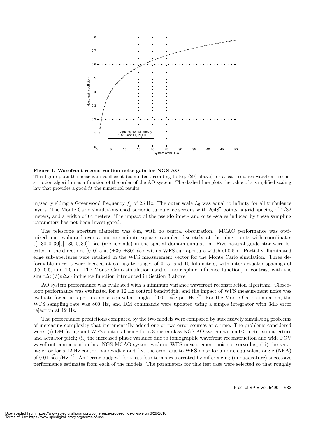

**Figure 1. Wavefront reconstruction noise gain for NGS AO**

This figure plots the noise gain coefficient (computed according to Eq. (29) above) for a least squares wavefront reconstruction algorithm as a function of the order of the AO system. The dashed line plots the value of a simplified scaling law that provides a good fit the numerical results.

m/sec, yielding a Greenwood frequency  $f_q$  of 25 Hz. The outer scale  $L_0$  was equal to infinity for all turbulence layers. The Monte Carlo simulations used periodic turbulence screens with  $2048^2$  points, a grid spacing of  $1/32$ meters, and a width of 64 meters. The impact of the pseudo inner- and outer-scales induced by these sampling parameters has not been investigated.

The telescope aperture diameter was 8 m, with no central obscuration. MCAO performance was optimized and evaluated over a one arc minute square, sampled discretely at the nine points with coordinates  $([-30, 0, 30], [-30, 0, 30])$  sec (arc seconds) in the spatial domain simulation. Five natural guide star were located in the directions  $(0,0)$  and  $(\pm 30, \pm 30)$  sec, with a WFS sub-aperture width of 0.5 m. Partially illuminated edge sub-apertures were retained in the WFS measurement vector for the Monte Carlo simulation. Three deformable mirrors were located at conjugate ranges of 0, 5, and 10 kilometers, with inter-actuator spacings of 0.5, 0.5, and 1.0 m. The Monte Carlo simulation used a linear spline influence function, in contrast with the  $\sin(\pi\Delta x)/(\pi\Delta x)$  influence function introduced in Section 3 above.

AO system performance was evaluated with a minimum variance wavefront reconstruction algorithm. Closedloop performance was evaluated for a 12 Hz control bandwidth, and the impact of WFS measurement noise was evaluate for a sub-aperture noise equivalent angle of 0.01 sec per  $Hz^{1/2}$ . For the Monte Carlo simulation, the WFS sampling rate was 800 Hz, and DM commands were updated using a simple integrator with 3dB error rejection at 12 Hz.

The performance predictions computed by the two models were compared by successively simulating problems of increasing complexity that incrementally added one or two error sources at a time. The problems considered were: (i) DM fitting and WFS spatial aliasing for a 8-meter class NGS AO system with a 0.5 meter sub-aperture and actuator pitch; (ii) the increased phase variance due to tomographic wavefront reconstruction and wide FOV wavefront compensation in a NGS MCAO system with no WFS measurement noise or servo lag; (iii) the servo lag error for a 12 Hz control bandwidth; and (iv) the error due to WFS noise for a noise equivalent angle (NEA) of 0.01  $\sec$  /Hz<sup>1/2</sup>. An "error budget" for these four terms was created by differencing (in quadrature) successive performance estimates from each of the models. The parameters for this test case were selected so that roughly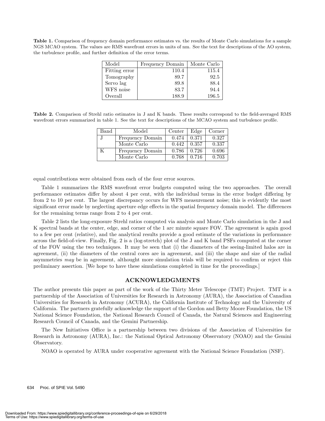**Table 1.** Comparison of frequency domain performance estimates vs. the results of Monte Carlo simulations for a sample NGS MCAO system. The values are RMS wavefront errors in units of nm. See the text for descriptions of the AO system, the turbulence profile, and further definition of the error terms.

| Model         | Frequency Domain | Monte Carlo |
|---------------|------------------|-------------|
| Fitting error | 110.4            | 115.4       |
| Tomography    | 89.7             | 92.5        |
| Servo lag     | 89.8             | 88.4        |
| WFS noise     | 83.7             | 94.4        |
| Overall       | 188.9            | 196.5       |

**Table 2.** Comparison of Strehl ratio estimates in J and K bands. These results correspond to the field-averaged RMS wavefront errors summarized in table 1. See the text for descriptions of the MCAO system and turbulence profile.

| Band | Model            | Center | Edge  | Corner |
|------|------------------|--------|-------|--------|
|      | Frequency Domain | 0.474  | 0.371 | 0.327  |
|      | Monte Carlo      | 0.442  | 0.357 | 0.337  |
|      | Frequency Domain | 0.786  | 0.726 | 0.696  |
|      | Monte Carlo      | 0.768  | 0.716 | 0.703  |

equal contributions were obtained from each of the four error sources.

Table 1 summarizes the RMS wavefront error budgets computed using the two approaches. The overall performance estimates differ by about 4 per cent, with the individual terms in the error budget differing by from 2 to 10 per cent. The largest discrepancy occurs for WFS measurement noise; this is evidently the most significant error made by neglecting aperture edge effects in the spatial frequency domain model. The differences for the remaining terms range from 2 to 4 per cent.

Table 2 lists the long-exposure Strehl ratios computed via analysis and Monte Carlo simulation in the J and K spectral bands at the center, edge, and corner of the 1 arc minute square FOV. The agreement is again good to a few per cent (relative), and the analytical results provide a good estimate of the variations in performance across the field-of-view. Finally, Fig. 2 is a (log-stretch) plot of the J and K band PSFs computed at the corner of the FOV using the two techniques. It may be seen that (i) the diameters of the seeing-limited halos are in agreement, (ii) the diameters of the central cores are in agreement, and (iii) the shape and size of the radial asymmetries *may* be in agreement, althought more simulation trials will be required to confirm or reject this preliminary assertion. [We hope to have these simulations completed in time for the proceedings.]

#### **ACKNOWLEDGMENTS**

The author presents this paper as part of the work of the Thirty Meter Telescope (TMT) Project. TMT is a partnership of the Association of Universities for Research in Astronomy (AURA), the Association of Canadian Universities for Research in Astronomy (ACURA), the California Institute of Technology and the University of California. The partners gratefully acknowledge the support of the Gordon and Betty Moore Foundation, the US National Science Foundation, the National Research Council of Canada, the Natural Sciences and Engineering Research Council of Canada, and the Gemini Partnership.

The New Initiatives Office is a partnership between two divisions of the Association of Universities for Research in Astronomy (AURA), Inc.: the National Optical Astronomy Observatory (NOAO) and the Gemini Observatory.

NOAO is operated by AURA under cooperative agreement with the National Science Foundation (NSF).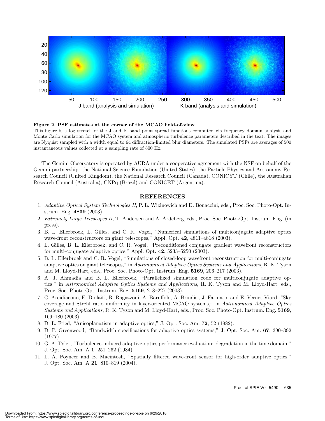

**Figure 2. PSF estimates at the corner of the MCAO field-of-view**

This figure is a log stretch of the J and K band point spread functions computed via frequency domain analysis and Monte Carlo simulation for the MCAO system and atmospheric turbulence parameters described in the text. The images are Nyquist sampled with a width equal to 64 diffraction-limited blur diameters. The simulated PSFs are averages of 500 instantaneous values collected at a sampling rate of 800 Hz.

The Gemini Observatory is operated by AURA under a cooperative agreement with the NSF on behalf of the Gemini partnership: the National Science Foundation (United States), the Particle Physics and Astronomy Research Council (United Kingdom), the National Research Council (Canada), CONICYT (Chile), the Australian Research Council (Australia), CNPq (Brazil) and CONICET (Argentina).

#### **REFERENCES**

- 1. *Adaptive Optical System Technologies II*, P. L. Wizinowich and D. Bonaccini, eds., Proc. Soc. Photo-Opt. Instrum. Eng. **4839** (2003).
- 2. *Extremely Large Telescopes II*, T. Andersen and A. Ardeberg, eds., Proc. Soc. Photo-Opt. Instrum. Eng. (in press).
- 3. B. L. Ellerbroek, L. Gilles, and C. R. Vogel, "Numerical simulations of multiconjugate adaptive optics wave-front reconstructors on giant telescopes," Appl. Opt. **42**, 4811–4818 (2003).
- 4. L. Gilles, B. L. Ellerbroek, and C. R. Vogel, "Preconditioned conjugate gradient wavefront reconstructors for multi-conjugate adaptive optics," Appl. Opt. **42**, 5233–5250 (2003).
- 5. B. L. Ellerbroek and C. R. Vogel, "Simulations of closed-loop wavefront reconstruction for multi-conjugate adaptive optics on giant telescopes," in *Astronomical Adaptive Optics Systems and Applications*, R. K. Tyson and M. Lloyd-Hart, eds., Proc. Soc. Photo-Opt. Instrum. Eng. **5169**, 206–217 (2003).
- 6. A. J. Ahmadia and B. L. Ellerbroek, "Parallelized simulation code for multiconjugate adaptive optics," in *Astronomical Adaptive Optics Systems and Applications*, R. K. Tyson and M. Lloyd-Hart, eds., Proc. Soc. Photo-Opt. Instrum. Eng. **5169**, 218–227 (2003).
- 7. C. Arcidiacono, E. Diolaiti, R. Ragazzoni, A. Baruffolo, A. Brindisi, J. Farinato, and E. Vernet-Viard, "Sky coverage and Strehl ratio uniformity in layer-oriented MCAO systems," in *Astronomical Adaptive Optics Systems and Applications*, R. K. Tyson and M. Lloyd-Hart, eds., Proc. Soc. Photo-Opt. Instrum. Eng. **5169**, 169–180 (2003).
- 8. D. L. Fried, "Anisoplanatism in adaptive optics," J. Opt. Soc. Am. **72**, 52 (1982).
- 9. D. P. Greenwood, "Bandwidth specifications for adaptive optics systems," J. Opt. Soc. Am. **67**, 390–392 (1977).
- 10. G. A. Tyler, "Turbulence-induced adaptive-optics performance evaluation: degradation in the time domain," J. Opt. Soc. Am. A **1**, 251–262 (1984).
- 11. L. A. Poyneer and B. Macintosh, "Spatially filtered wave-front sensor for high-order adaptive optics," J. Opt. Soc. Am. A **21**, 810–819 (2004).